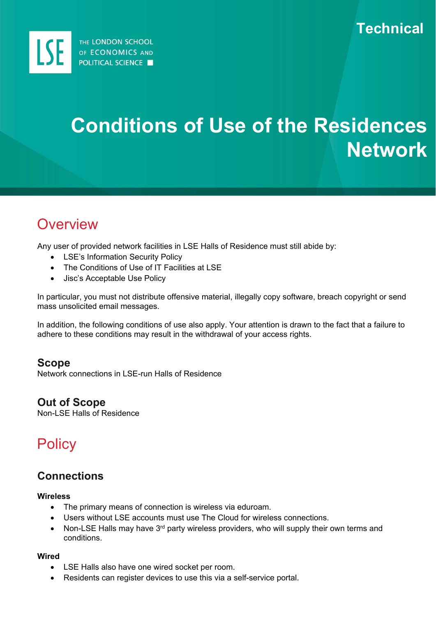

# **Conditions of Use of the Residences Network**

## **Overview**

Any user of provided network facilities in LSE Halls of Residence must still abide by:

- LSE's Information Security Policy
- The Conditions of Use of IT Facilities at LSE
- Jisc's Acceptable Use Policy

In particular, you must not distribute offensive material, illegally copy software, breach copyright or send mass unsolicited email messages.

In addition, the following conditions of use also apply. Your attention is drawn to the fact that a failure to adhere to these conditions may result in the withdrawal of your access rights.

#### **Scope**

Network connections in LSE-run Halls of Residence

## **Out of Scope**

Non-LSE Halls of Residence

## **Policy**

## **Connections**

#### **Wireless**

- The primary means of connection is wireless via eduroam.
- Users without LSE accounts must use The Cloud for wireless connections.
- Non-LSE Halls may have 3<sup>rd</sup> party wireless providers, who will supply their own terms and conditions.

#### **Wired**

- LSE Halls also have one wired socket per room.
- Residents can register devices to use this via a self-service portal.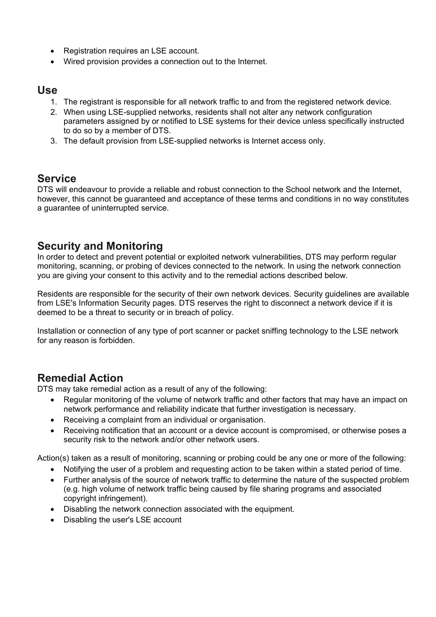- Registration requires an LSE account.
- Wired provision provides a connection out to the Internet.

#### **Use**

- 1. The registrant is responsible for all network traffic to and from the registered network device.
- 2. When using LSE-supplied networks, residents shall not alter any network configuration parameters assigned by or notified to LSE systems for their device unless specifically instructed to do so by a member of DTS.
- 3. The default provision from LSE-supplied networks is Internet access only.

## **Service**

DTS will endeavour to provide a reliable and robust connection to the School network and the Internet, however, this cannot be guaranteed and acceptance of these terms and conditions in no way constitutes a guarantee of uninterrupted service.

## **Security and Monitoring**

In order to detect and prevent potential or exploited network vulnerabilities, DTS may perform regular monitoring, scanning, or probing of devices connected to the network. In using the network connection you are giving your consent to this activity and to the remedial actions described below.

Residents are responsible for the security of their own network devices. Security guidelines are available from LSE's Information Security pages. DTS reserves the right to disconnect a network device if it is deemed to be a threat to security or in breach of policy.

Installation or connection of any type of port scanner or packet sniffing technology to the LSE network for any reason is forbidden.

## **Remedial Action**

DTS may take remedial action as a result of any of the following:

- Regular monitoring of the volume of network traffic and other factors that may have an impact on network performance and reliability indicate that further investigation is necessary.
- Receiving a complaint from an individual or organisation.
- Receiving notification that an account or a device account is compromised, or otherwise poses a security risk to the network and/or other network users.

Action(s) taken as a result of monitoring, scanning or probing could be any one or more of the following:

- Notifying the user of a problem and requesting action to be taken within a stated period of time.
- Further analysis of the source of network traffic to determine the nature of the suspected problem (e.g. high volume of network traffic being caused by file sharing programs and associated copyright infringement).
- Disabling the network connection associated with the equipment.
- Disabling the user's LSE account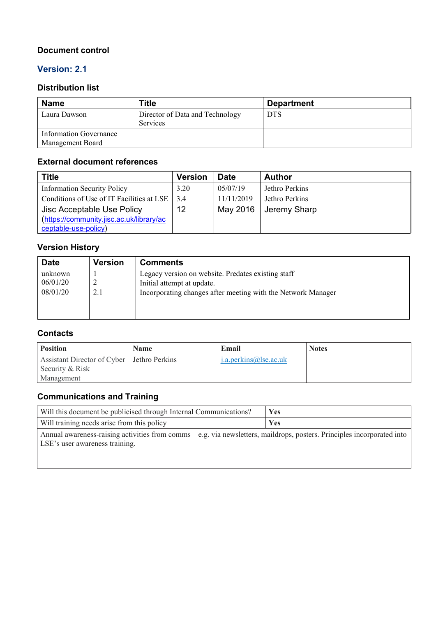#### **Document control**

#### **Version: 2.1**

#### **Distribution list**

| <b>Name</b>                                | Title                                              | <b>Department</b> |
|--------------------------------------------|----------------------------------------------------|-------------------|
| Laura Dawson                               | Director of Data and Technology<br><b>Services</b> | <b>DTS</b>        |
| Information Governance<br>Management Board |                                                    |                   |

#### **External document references**

| <b>Title</b>                              | <b>Version</b> | <b>Date</b> | <b>Author</b>  |
|-------------------------------------------|----------------|-------------|----------------|
| <b>Information Security Policy</b>        | 3.20           | 05/07/19    | Jethro Perkins |
| Conditions of Use of IT Facilities at LSE | 3.4            | 11/11/2019  | Jethro Perkins |
| Jisc Acceptable Use Policy                | 12             | May 2016    | Jeremy Sharp   |
| https://community.jisc.ac.uk/library/ac   |                |             |                |
| ceptable-use-policy)                      |                |             |                |

### **Version History**

| <b>Date</b>                     | <b>Version</b> | <b>Comments</b>                                                                                                                                  |
|---------------------------------|----------------|--------------------------------------------------------------------------------------------------------------------------------------------------|
| unknown<br>06/01/20<br>08/01/20 | 2.1            | Legacy version on website. Predates existing staff<br>Initial attempt at update.<br>Incorporating changes after meeting with the Network Manager |

#### **Contacts**

| <b>Position</b>                                                 | Name | Email                            | <b>Notes</b> |
|-----------------------------------------------------------------|------|----------------------------------|--------------|
| Assistant Director of Cyber   Jethro Perkins<br>Security & Risk |      | $i.a. \text{perkins@}$ lse.ac.uk |              |
| Management                                                      |      |                                  |              |

#### **Communications and Training**

| Will this document be publicised through Internal Communications?                                                                                           | <b>Yes</b> |
|-------------------------------------------------------------------------------------------------------------------------------------------------------------|------------|
| Will training needs arise from this policy                                                                                                                  | Yes        |
| Annual awareness-raising activities from comms – e.g. via newsletters, maildrops, posters. Principles incorporated into  <br>LSE's user awareness training. |            |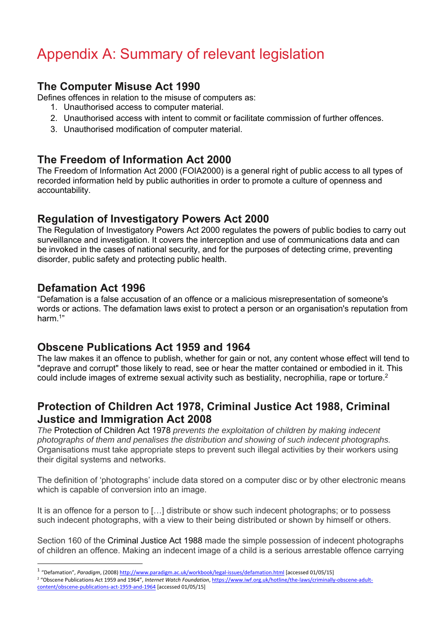## Appendix A: Summary of relevant legislation

## **The Computer Misuse Act 1990**

Defines offences in relation to the misuse of computers as:

- 1. Unauthorised access to computer material.
- 2. Unauthorised access with intent to commit or facilitate commission of further offences.
- 3. Unauthorised modification of computer material.

## **The Freedom of Information Act 2000**

The Freedom of Information Act 2000 (FOIA2000) is a general right of public access to all types of recorded information held by public authorities in order to promote a culture of openness and accountability.

## **Regulation of Investigatory Powers Act 2000**

The Regulation of Investigatory Powers Act 2000 regulates the powers of public bodies to carry out surveillance and investigation. It covers the interception and use of communications data and can be invoked in the cases of national security, and for the purposes of detecting crime, preventing disorder, public safety and protecting public health.

## **Defamation Act 1996**

"Defamation is a false accusation of an offence or a malicious misrepresentation of someone's words or actions. The defamation laws exist to protect a person or an organisation's reputation from harm<sup>1"</sup>

## **Obscene Publications Act 1959 and 1964**

The law makes it an offence to publish, whether for gain or not, any content whose effect will tend to "deprave and corrupt" those likely to read, see or hear the matter contained or embodied in it. This could include images of extreme sexual activity such as bestiality, necrophilia, rape or torture.<sup>2</sup>

## **Protection of Children Act 1978, Criminal Justice Act 1988, Criminal Justice and Immigration Act 2008**

*The* Protection of Children Act 1978 *prevents the exploitation of children by making indecent photographs of them and penalises the distribution and showing of such indecent photographs.*  Organisations must take appropriate steps to prevent such illegal activities by their workers using their digital systems and networks.

The definition of 'photographs' include data stored on a computer disc or by other electronic means which is capable of conversion into an image.

It is an offence for a person to […] distribute or show such indecent photographs; or to possess such indecent photographs, with a view to their being distributed or shown by himself or others.

Section 160 of the Criminal Justice Act 1988 made the simple possession of indecent photographs of children an offence. Making an indecent image of a child is a serious arrestable offence carrying

<sup>1</sup> "Defamation", *Paradigm*, (2008) http://www.paradigm.ac.uk/workbook/legal‐issues/defamation.html [accessed 01/05/15]

<sup>2</sup> "Obscene Publications Act 1959 and 1964", *Internet Watch Foundation*, https://www.iwf.org.uk/hotline/the‐laws/criminally‐obscene‐adult‐ content/obscene‐publications‐act‐1959‐and‐1964 [accessed 01/05/15]